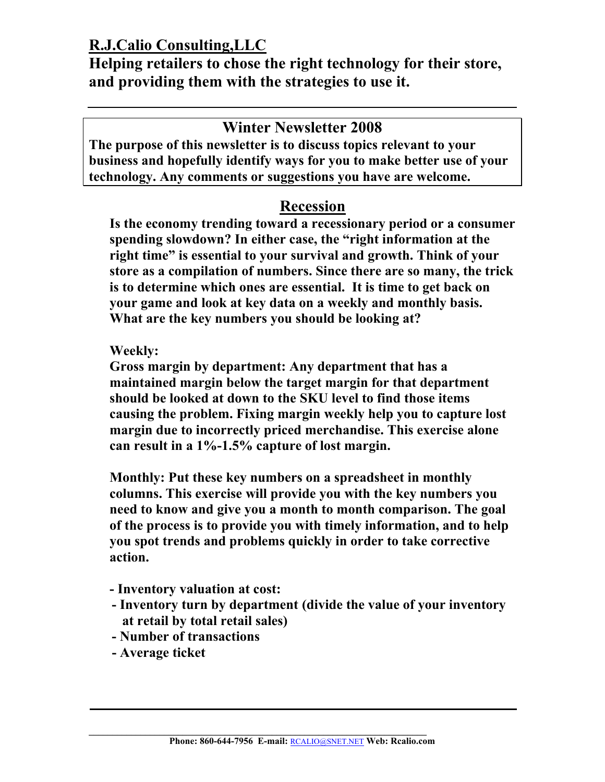**Helping retailers to chose the right technology for their store, and providing them with the strategies to use it.** 

## **Winter Newsletter 2008**

**The purpose of this newsletter is to discuss topics relevant to your business and hopefully identify ways for you to make better use of your technology. Any comments or suggestions you have are welcome.** 

# **Recession**

**Is the economy trending toward a recessionary period or a consumer spending slowdown? In either case, the "right information at the right time" is essential to your survival and growth. Think of your store as a compilation of numbers. Since there are so many, the trick is to determine which ones are essential. It is time to get back on your game and look at key data on a weekly and monthly basis. What are the key numbers you should be looking at?** 

#### **Weekly:**

**Gross margin by department: Any department that has a maintained margin below the target margin for that department should be looked at down to the SKU level to find those items causing the problem. Fixing margin weekly help you to capture lost margin due to incorrectly priced merchandise. This exercise alone can result in a 1%-1.5% capture of lost margin.** 

**Monthly: Put these key numbers on a spreadsheet in monthly columns. This exercise will provide you with the key numbers you need to know and give you a month to month comparison. The goal of the process is to provide you with timely information, and to help you spot trends and problems quickly in order to take corrective action.** 

- **Inventory valuation at cost:**
- **Inventory turn by department (divide the value of your inventory at retail by total retail sales)**
- **Number of transactions**
- **Average ticket**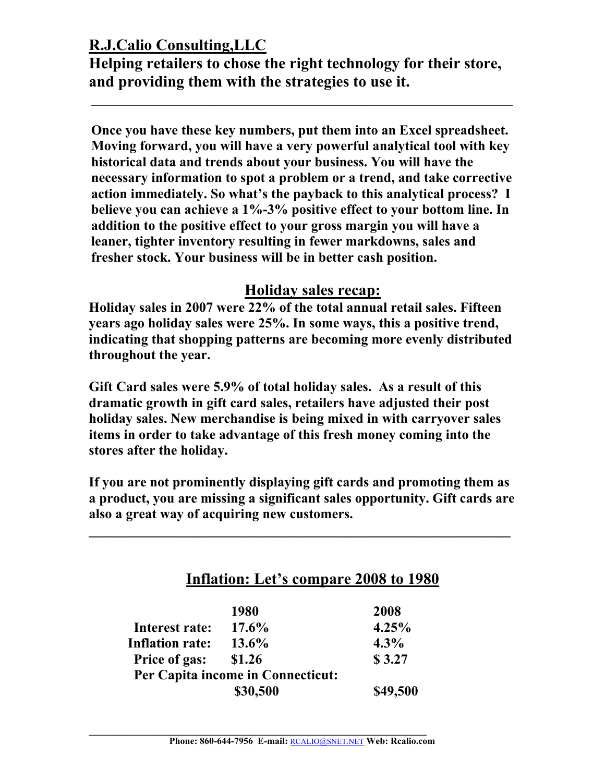**Helping retailers to chose the right technology for their store, and providing them with the strategies to use it.** 

**\_\_\_\_\_\_\_\_\_\_\_\_\_\_\_\_\_\_\_\_\_\_\_\_\_\_\_\_\_\_\_\_\_\_\_\_\_\_\_\_\_\_\_\_\_\_\_\_\_\_\_\_\_\_\_\_\_\_\_\_\_** 

**Once you have these key numbers, put them into an Excel spreadsheet. Moving forward, you will have a very powerful analytical tool with key historical data and trends about your business. You will have the necessary information to spot a problem or a trend, and take corrective action immediately. So what's the payback to this analytical process? I believe you can achieve a 1%-3% positive effect to your bottom line. In addition to the positive effect to your gross margin you will have a leaner, tighter inventory resulting in fewer markdowns, sales and fresher stock. Your business will be in better cash position.** 

### **Holiday sales recap:**

**Holiday sales in 2007 were 22% of the total annual retail sales. Fifteen years ago holiday sales were 25%. In some ways, this a positive trend, indicating that shopping patterns are becoming more evenly distributed throughout the year.** 

**Gift Card sales were 5.9% of total holiday sales. As a result of this dramatic growth in gift card sales, retailers have adjusted their post holiday sales. New merchandise is being mixed in with carryover sales items in order to take advantage of this fresh money coming into the stores after the holiday.** 

**If you are not prominently displaying gift cards and promoting them as a product, you are missing a significant sales opportunity. Gift cards are also a great way of acquiring new customers.** 

|                        | 1980     | 2008    |
|------------------------|----------|---------|
| Interest rate:         | 17.6%    | 4.25%   |
| <b>Inflation rate:</b> | $13.6\%$ | $4.3\%$ |
| <b>Price of gas:</b>   | \$1.26   | \$3.27  |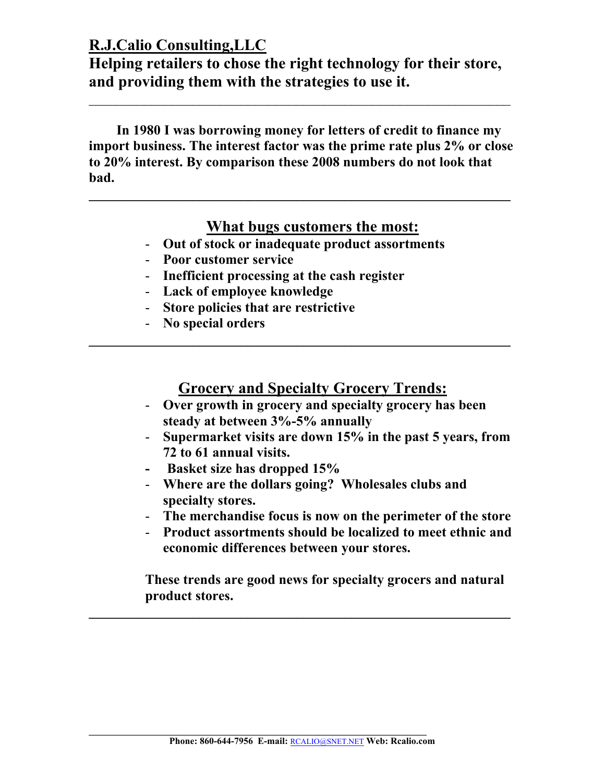**Helping retailers to chose the right technology for their store, and providing them with the strategies to use it.** 

 **In 1980 I was borrowing money for letters of credit to finance my import business. The interest factor was the prime rate plus 2% or close to 20% interest. By comparison these 2008 numbers do not look that bad.** 

#### **What bugs customers the most:**

- **Out of stock or inadequate product assortments**
- **Poor customer service**
- **Inefficient processing at the cash register**
- **Lack of employee knowledge**
- **Store policies that are restrictive**
- **No special orders**

#### **Grocery and Specialty Grocery Trends:**

**\_\_\_\_\_\_\_\_\_\_\_\_\_\_\_\_\_\_\_\_\_\_\_\_\_\_\_\_\_\_\_\_\_\_\_\_\_\_\_\_\_\_\_\_\_\_\_\_\_\_\_\_\_\_\_\_\_\_\_\_\_** 

- **Over growth in grocery and specialty grocery has been steady at between 3%-5% annually**
- **Supermarket visits are down 15% in the past 5 years, from 72 to 61 annual visits.**
- **Basket size has dropped 15%**
- **Where are the dollars going? Wholesales clubs and specialty stores.**
- **The merchandise focus is now on the perimeter of the store**
- **Product assortments should be localized to meet ethnic and economic differences between your stores.**

**These trends are good news for specialty grocers and natural product stores.** 

**\_\_\_\_\_\_\_\_\_\_\_\_\_\_\_\_\_\_\_\_\_\_\_\_\_\_\_\_\_\_\_\_\_\_\_\_\_\_\_\_\_\_\_\_\_\_\_\_\_\_\_\_\_\_\_\_\_\_\_\_\_**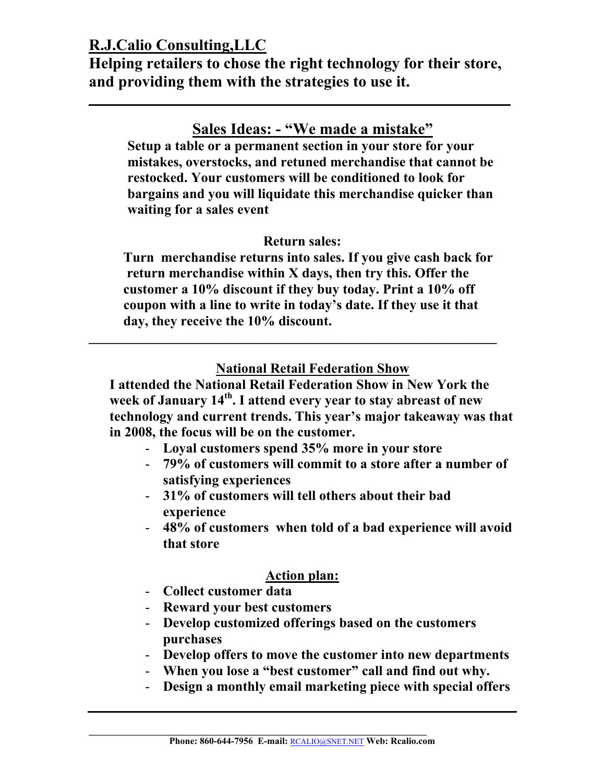**Helping retailers to chose the right technology for their store, and providing them with the strategies to use it.** 

**\_\_\_\_\_\_\_\_\_\_\_\_\_\_\_\_\_\_\_\_\_\_\_\_\_\_\_\_\_\_\_\_\_\_\_\_\_\_\_\_\_\_\_\_\_\_\_\_\_\_\_\_\_\_\_\_\_\_\_\_\_**

# **Sales Ideas: - "We made a mistake"**

**Setup a table or a permanent section in your store for your mistakes, overstocks, and retuned merchandise that cannot be restocked. Your customers will be conditioned to look for bargains and you will liquidate this merchandise quicker than waiting for a sales event** 

#### **Return sales:**

 **Turn merchandise returns into sales. If you give cash back for return merchandise within X days, then try this. Offer the customer a 10% discount if they buy today. Print a 10% off coupon with a line to write in today's date. If they use it that day, they receive the 10% discount.** 

#### **National Retail Federation Show**

**I attended the National Retail Federation Show in New York the week of January 14th. I attend every year to stay abreast of new technology and current trends. This year's major takeaway was that in 2008, the focus will be on the customer.** 

- **Loyal customers spend 35% more in your store** 

**\_\_\_\_\_\_\_\_\_\_\_\_\_\_\_\_\_\_\_\_\_\_\_\_\_\_\_\_\_\_\_\_\_\_\_\_\_\_\_\_\_\_\_\_\_\_\_\_\_\_\_\_\_\_\_\_\_\_\_** 

- **79% of customers will commit to a store after a number of satisfying experiences**
- **31% of customers will tell others about their bad experience**
- **48% of customers when told of a bad experience will avoid that store**

#### **Action plan:**

- **Collect customer data**
- **Reward your best customers**
- **Develop customized offerings based on the customers purchases**
- **Develop offers to move the customer into new departments**
- **When you lose a "best customer" call and find out why.**
- **Design a monthly email marketing piece with special offers**